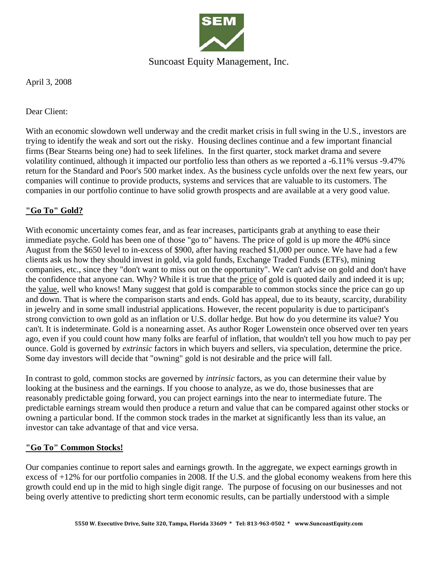

## Suncoast Equity Management, Inc.

April 3, 2008

Dear Client:

With an economic slowdown well underway and the credit market crisis in full swing in the U.S., investors are trying to identify the weak and sort out the risky. Housing declines continue and a few important financial firms (Bear Stearns being one) had to seek lifelines. In the first quarter, stock market drama and severe volatility continued, although it impacted our portfolio less than others as we reported a -6.11% versus -9.47% return for the Standard and Poor's 500 market index. As the business cycle unfolds over the next few years, our companies will continue to provide products, systems and services that are valuable to its customers. The companies in our portfolio continue to have solid growth prospects and are available at a very good value.

### **"Go To" Gold?**

With economic uncertainty comes fear, and as fear increases, participants grab at anything to ease their immediate psyche. Gold has been one of those "go to" havens. The price of gold is up more the 40% since August from the \$650 level to in-excess of \$900, after having reached \$1,000 per ounce. We have had a few clients ask us how they should invest in gold, via gold funds, Exchange Traded Funds (ETFs), mining companies, etc., since they "don't want to miss out on the opportunity". We can't advise on gold and don't have the confidence that anyone can. Why? While it is true that the price of gold is quoted daily and indeed it is up; the value, well who knows! Many suggest that gold is comparable to common stocks since the price can go up and down. That is where the comparison starts and ends. Gold has appeal, due to its beauty, scarcity, durability in jewelry and in some small industrial applications. However, the recent popularity is due to participant's strong conviction to own gold as an inflation or U.S. dollar hedge. But how do you determine its value? You can't. It is indeterminate. Gold is a nonearning asset. As author Roger Lowenstein once observed over ten years ago, even if you could count how many folks are fearful of inflation, that wouldn't tell you how much to pay per ounce. Gold is governed by *extrinsic* factors in which buyers and sellers, via speculation, determine the price. Some day investors will decide that "owning" gold is not desirable and the price will fall.

In contrast to gold, common stocks are governed by *intrinsic* factors, as you can determine their value by looking at the business and the earnings. If you choose to analyze, as we do, those businesses that are reasonably predictable going forward, you can project earnings into the near to intermediate future. The predictable earnings stream would then produce a return and value that can be compared against other stocks or owning a particular bond. If the common stock trades in the market at significantly less than its value, an investor can take advantage of that and vice versa.

### **"Go To" Common Stocks!**

Our companies continue to report sales and earnings growth. In the aggregate, we expect earnings growth in excess of +12% for our portfolio companies in 2008. If the U.S. and the global economy weakens from here this growth could end up in the mid to high single digit range. The purpose of focusing on our businesses and not being overly attentive to predicting short term economic results, can be partially understood with a simple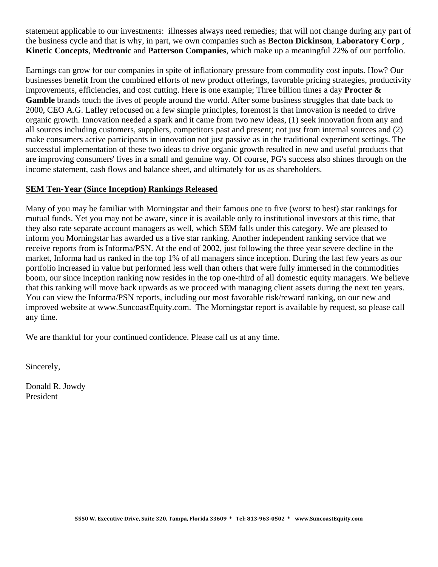statement applicable to our investments: illnesses always need remedies; that will not change during any part of the business cycle and that is why, in part, we own companies such as **Becton Dickinson**, **Laboratory Corp** , **Kinetic Concepts**, **Medtronic** and **Patterson Companies**, which make up a meaningful 22% of our portfolio.

Earnings can grow for our companies in spite of inflationary pressure from commodity cost inputs. How? Our businesses benefit from the combined efforts of new product offerings, favorable pricing strategies, productivity improvements, efficiencies, and cost cutting. Here is one example; Three billion times a day **Procter & Gamble** brands touch the lives of people around the world. After some business struggles that date back to 2000, CEO A.G. Lafley refocused on a few simple principles, foremost is that innovation is needed to drive organic growth. Innovation needed a spark and it came from two new ideas, (1) seek innovation from any and all sources including customers, suppliers, competitors past and present; not just from internal sources and (2) make consumers active participants in innovation not just passive as in the traditional experiment settings. The successful implementation of these two ideas to drive organic growth resulted in new and useful products that are improving consumers' lives in a small and genuine way. Of course, PG's success also shines through on the income statement, cash flows and balance sheet, and ultimately for us as shareholders.

### **SEM Ten-Year (Since Inception) Rankings Released**

Many of you may be familiar with Morningstar and their famous one to five (worst to best) star rankings for mutual funds. Yet you may not be aware, since it is available only to institutional investors at this time, that they also rate separate account managers as well, which SEM falls under this category. We are pleased to inform you Morningstar has awarded us a five star ranking. Another independent ranking service that we receive reports from is Informa/PSN. At the end of 2002, just following the three year severe decline in the market, Informa had us ranked in the top 1% of all managers since inception. During the last few years as our portfolio increased in value but performed less well than others that were fully immersed in the commodities boom, our since inception ranking now resides in the top one-third of all domestic equity managers. We believe that this ranking will move back upwards as we proceed with managing client assets during the next ten years. You can view the Informa/PSN reports, including our most favorable risk/reward ranking, on our new and improved website at www.SuncoastEquity.com. The Morningstar report is available by request, so please call any time.

We are thankful for your continued confidence. Please call us at any time.

Sincerely,

Donald R. Jowdy President